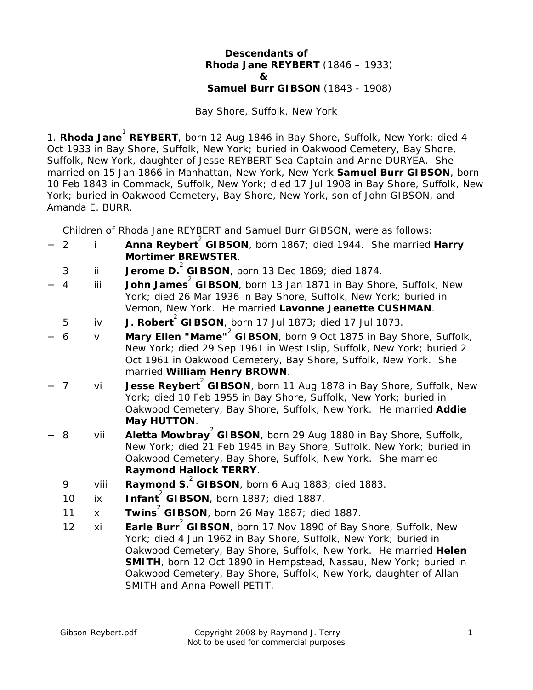## **Descendants of Rhoda Jane REYBERT** (1846 – 1933)  **& Samuel Burr GIBSON** (1843 - 1908)

Bay Shore, Suffolk, New York

1. **Rhoda Jane<sup>1</sup> REYBERT**, born 12 Aug 1846 in Bay Shore, Suffolk, New York; died 4 Oct 1933 in Bay Shore, Suffolk, New York; buried in Oakwood Cemetery, Bay Shore, Suffolk, New York, daughter of Jesse REYBERT Sea Captain and Anne DURYEA. She married on 15 Jan 1866 in Manhattan, New York, New York **Samuel Burr GIBSON**, born 10 Feb 1843 in Commack, Suffolk, New York; died 17 Jul 1908 in Bay Shore, Suffolk, New York; buried in Oakwood Cemetery, Bay Shore, New York, son of John GIBSON, and Amanda E. BURR.

Children of Rhoda Jane REYBERT and Samuel Burr GIBSON, were as follows:

- + 2 i **Anna Reybert** 2 **GIBSON**, born 1867; died 1944. She married **Harry Mortimer BREWSTER**.
- 3 ii **Jerome D.** 2 **GIBSON**, born 13 Dec 1869; died 1874.
- + 4 iii **John James** 2 **GIBSON**, born 13 Jan 1871 in Bay Shore, Suffolk, New York; died 26 Mar 1936 in Bay Shore, Suffolk, New York; buried in Vernon, New York. He married **Lavonne Jeanette CUSHMAN**.
- 5 iv **J. Robert** 2 **GIBSON**, born 17 Jul 1873; died 17 Jul 1873.
- + 6 v **Mary Ellen "Mame"** 2 **GIBSON**, born 9 Oct 1875 in Bay Shore, Suffolk, New York; died 29 Sep 1961 in West Islip, Suffolk, New York; buried 2 Oct 1961 in Oakwood Cemetery, Bay Shore, Suffolk, New York. She married **William Henry BROWN**.
- + 7 vi **Jesse Reybert** 2 **GIBSON**, born 11 Aug 1878 in Bay Shore, Suffolk, New York; died 10 Feb 1955 in Bay Shore, Suffolk, New York; buried in Oakwood Cemetery, Bay Shore, Suffolk, New York. He married **Addie May HUTTON**.
- + 8 vii **Aletta Mowbray** 2 **GIBSON**, born 29 Aug 1880 in Bay Shore, Suffolk, New York; died 21 Feb 1945 in Bay Shore, Suffolk, New York; buried in Oakwood Cemetery, Bay Shore, Suffolk, New York. She married **Raymond Hallock TERRY**.
- 9 viii **Raymond S.** 2 **GIBSON**, born 6 Aug 1883; died 1883.
- 10 ix **Infant** 2 **GIBSON**, born 1887; died 1887.
- 11 x **Twins** 2 **GIBSON**, born 26 May 1887; died 1887.
- 12 xi **Earle Burr<sup>2</sup> GIBSON**, born 17 Nov 1890 of Bay Shore, Suffolk, New York; died 4 Jun 1962 in Bay Shore, Suffolk, New York; buried in Oakwood Cemetery, Bay Shore, Suffolk, New York. He married **Helen SMITH**, born 12 Oct 1890 in Hempstead, Nassau, New York; buried in Oakwood Cemetery, Bay Shore, Suffolk, New York, daughter of Allan SMITH and Anna Powell PETIT.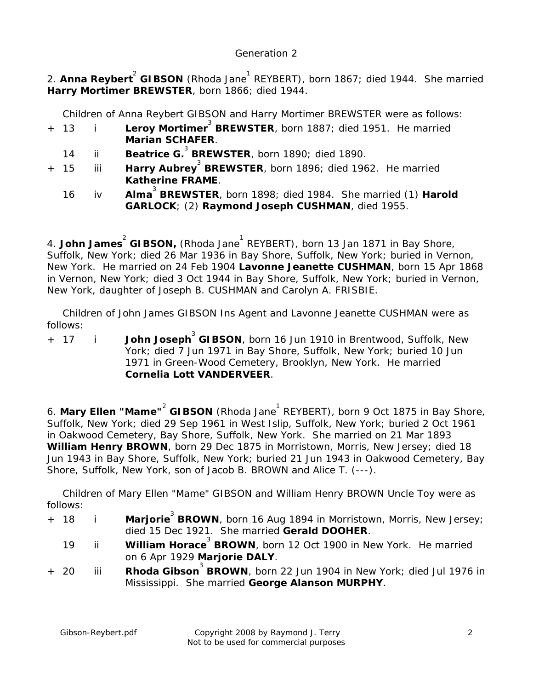## *Generation 2*

2. **Anna Reybert<sup>2</sup> GIBSON** (Rhoda Jane<sup>1</sup> REYBERT), born 1867; died 1944. She married **Harry Mortimer BREWSTER**, born 1866; died 1944.

Children of Anna Reybert GIBSON and Harry Mortimer BREWSTER were as follows:

- + 13 i **Leroy Mortimer** 3 **BREWSTER**, born 1887; died 1951. He married **Marian SCHAFER**.
- 14 ii **Beatrice G.**<sup>3</sup> BREWSTER, born 1890; died 1890.
- + 15 iii **Harry Aubrey** 3 **BREWSTER**, born 1896; died 1962. He married **Katherine FRAME**.
- 16 iv **Alma** 3 **BREWSTER**, born 1898; died 1984. She married (1) **Harold GARLOCK**; (2) **Raymond Joseph CUSHMAN**, died 1955.

4. **John James<sup>2</sup> GIBSON,** (Rhoda Jane<sup>1</sup> REYBERT), born 13 Jan 1871 in Bay Shore, Suffolk, New York; died 26 Mar 1936 in Bay Shore, Suffolk, New York; buried in Vernon, New York. He married on 24 Feb 1904 **Lavonne Jeanette CUSHMAN**, born 15 Apr 1868 in Vernon, New York; died 3 Oct 1944 in Bay Shore, Suffolk, New York; buried in Vernon, New York, daughter of Joseph B. CUSHMAN and Carolyn A. FRISBIE.

 Children of John James GIBSON Ins Agent and Lavonne Jeanette CUSHMAN were as follows:

+ 17 i **John Joseph** 3 **GIBSON**, born 16 Jun 1910 in Brentwood, Suffolk, New York; died 7 Jun 1971 in Bay Shore, Suffolk, New York; buried 10 Jun 1971 in Green-Wood Cemetery, Brooklyn, New York. He married **Cornelia Lott VANDERVEER**.

6. Mary Ellen "Mame"<sup>2</sup> GIBSON (Rhoda Jane<sup>1</sup> REYBERT), born 9 Oct 1875 in Bay Shore, Suffolk, New York; died 29 Sep 1961 in West Islip, Suffolk, New York; buried 2 Oct 1961 in Oakwood Cemetery, Bay Shore, Suffolk, New York. She married on 21 Mar 1893 **William Henry BROWN**, born 29 Dec 1875 in Morristown, Morris, New Jersey; died 18 Jun 1943 in Bay Shore, Suffolk, New York; buried 21 Jun 1943 in Oakwood Cemetery, Bay Shore, Suffolk, New York, son of Jacob B. BROWN and Alice T. (---).

 Children of Mary Ellen "Mame" GIBSON and William Henry BROWN Uncle Toy were as follows:

- + 18 i **Marjorie** 3 **BROWN**, born 16 Aug 1894 in Morristown, Morris, New Jersey; died 15 Dec 1921. She married **Gerald DOOHER**.
- 19 ii **William Horace** 3 **BROWN**, born 12 Oct 1900 in New York. He married on 6 Apr 1929 **Marjorie DALY**.
- + 20 iii **Rhoda Gibson<sup>3</sup> BROWN**, born 22 Jun 1904 in New York; died Jul 1976 in Mississippi. She married **George Alanson MURPHY**.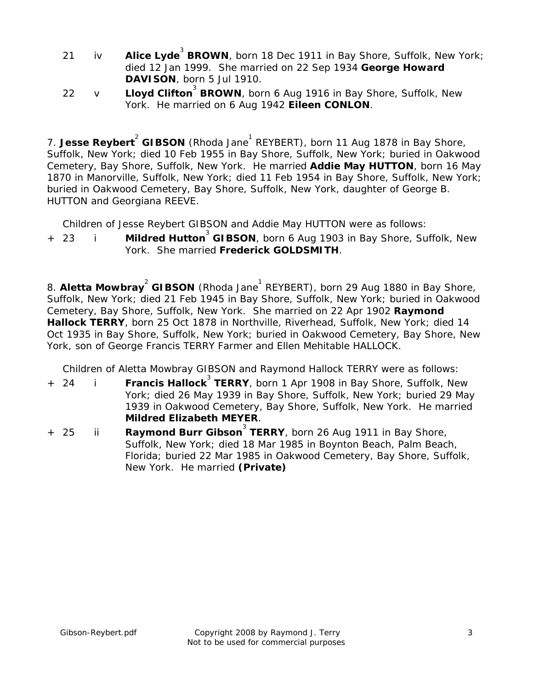- 21 iv **Alice Lyde** 3 **BROWN**, born 18 Dec 1911 in Bay Shore, Suffolk, New York; died 12 Jan 1999. She married on 22 Sep 1934 **George Howard DAVISON**, born 5 Jul 1910.
- 22 v **Lloyd Clifton<sup>3</sup> BROWN**, born 6 Aug 1916 in Bay Shore, Suffolk, New York. He married on 6 Aug 1942 **Eileen CONLON**.

7. **Jesse Reybert<sup>2</sup> GIBSON** (Rhoda Jane<sup>1</sup> REYBERT), born 11 Aug 1878 in Bay Shore, Suffolk, New York; died 10 Feb 1955 in Bay Shore, Suffolk, New York; buried in Oakwood Cemetery, Bay Shore, Suffolk, New York. He married **Addie May HUTTON**, born 16 May 1870 in Manorville, Suffolk, New York; died 11 Feb 1954 in Bay Shore, Suffolk, New York; buried in Oakwood Cemetery, Bay Shore, Suffolk, New York, daughter of George B. HUTTON and Georgiana REEVE.

Children of Jesse Reybert GIBSON and Addie May HUTTON were as follows:

## + 23 i **Mildred Hutton** 3 **GIBSON**, born 6 Aug 1903 in Bay Shore, Suffolk, New York. She married **Frederick GOLDSMITH**.

8. Aletta Mowbray<sup>2</sup> GIBSON (Rhoda Jane<sup>1</sup> REYBERT), born 29 Aug 1880 in Bay Shore, Suffolk, New York; died 21 Feb 1945 in Bay Shore, Suffolk, New York; buried in Oakwood Cemetery, Bay Shore, Suffolk, New York. She married on 22 Apr 1902 **Raymond Hallock TERRY**, born 25 Oct 1878 in Northville, Riverhead, Suffolk, New York; died 14 Oct 1935 in Bay Shore, Suffolk, New York; buried in Oakwood Cemetery, Bay Shore, New York, son of George Francis TERRY Farmer and Ellen Mehitable HALLOCK.

Children of Aletta Mowbray GIBSON and Raymond Hallock TERRY were as follows:

- + 24 i **Francis Hallock** 3 **TERRY**, born 1 Apr 1908 in Bay Shore, Suffolk, New York; died 26 May 1939 in Bay Shore, Suffolk, New York; buried 29 May 1939 in Oakwood Cemetery, Bay Shore, Suffolk, New York. He married **Mildred Elizabeth MEYER**.
- + 25 ii **Raymond Burr Gibson<sup>3</sup> TERRY**, born 26 Aug 1911 in Bay Shore, Suffolk, New York; died 18 Mar 1985 in Boynton Beach, Palm Beach, Florida; buried 22 Mar 1985 in Oakwood Cemetery, Bay Shore, Suffolk, New York. He married **(Private)**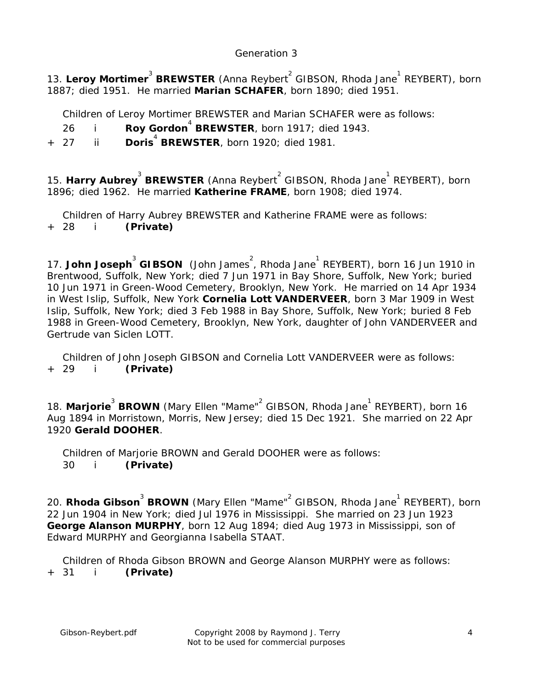## *Generation 3*

13. Leroy Mortimer<sup>3</sup> BREWSTER (Anna Reybert<sup>2</sup> GIBSON, Rhoda Jane<sup>1</sup> REYBERT), born 1887; died 1951. He married **Marian SCHAFER**, born 1890; died 1951.

Children of Leroy Mortimer BREWSTER and Marian SCHAFER were as follows:

26 i **Roy Gordon** 4 **BREWSTER**, born 1917; died 1943.

+ 27 ii **Doris** 4 **BREWSTER**, born 1920; died 1981.

15. Harry Aubrey<sup>3</sup> BREWSTER (Anna Reybert<sup>2</sup> GIBSON, Rhoda Jane<sup>1</sup> REYBERT), born 1896; died 1962. He married **Katherine FRAME**, born 1908; died 1974.

Children of Harry Aubrey BREWSTER and Katherine FRAME were as follows:

+ 28 i **(Private)**

17. **John Joseph<sup>3</sup> GIBSON** (John James<sup>2</sup>, Rhoda Jane<sup>1</sup> REYBERT), born 16 Jun 1910 in Brentwood, Suffolk, New York; died 7 Jun 1971 in Bay Shore, Suffolk, New York; buried 10 Jun 1971 in Green-Wood Cemetery, Brooklyn, New York. He married on 14 Apr 1934 in West Islip, Suffolk, New York **Cornelia Lott VANDERVEER**, born 3 Mar 1909 in West Islip, Suffolk, New York; died 3 Feb 1988 in Bay Shore, Suffolk, New York; buried 8 Feb 1988 in Green-Wood Cemetery, Brooklyn, New York, daughter of John VANDERVEER and Gertrude van Siclen LOTT.

 Children of John Joseph GIBSON and Cornelia Lott VANDERVEER were as follows: + 29 i **(Private)**

18. Marjorie<sup>3</sup> BROWN (Mary Ellen "Mame"<sup>2</sup> GIBSON, Rhoda Jane<sup>1</sup> REYBERT), born 16 Aug 1894 in Morristown, Morris, New Jersey; died 15 Dec 1921. She married on 22 Apr 1920 **Gerald DOOHER**.

 Children of Marjorie BROWN and Gerald DOOHER were as follows: 30 i **(Private)**

20. **Rhoda Gibson<sup>3</sup> BROWN** (Mary Ellen "Mame"<sup>2</sup> GIBSON, Rhoda Jane<sup>1</sup> REYBERT), born 22 Jun 1904 in New York; died Jul 1976 in Mississippi. She married on 23 Jun 1923 **George Alanson MURPHY**, born 12 Aug 1894; died Aug 1973 in Mississippi, son of Edward MURPHY and Georgianna Isabella STAAT.

 Children of Rhoda Gibson BROWN and George Alanson MURPHY were as follows: + 31 i **(Private)**